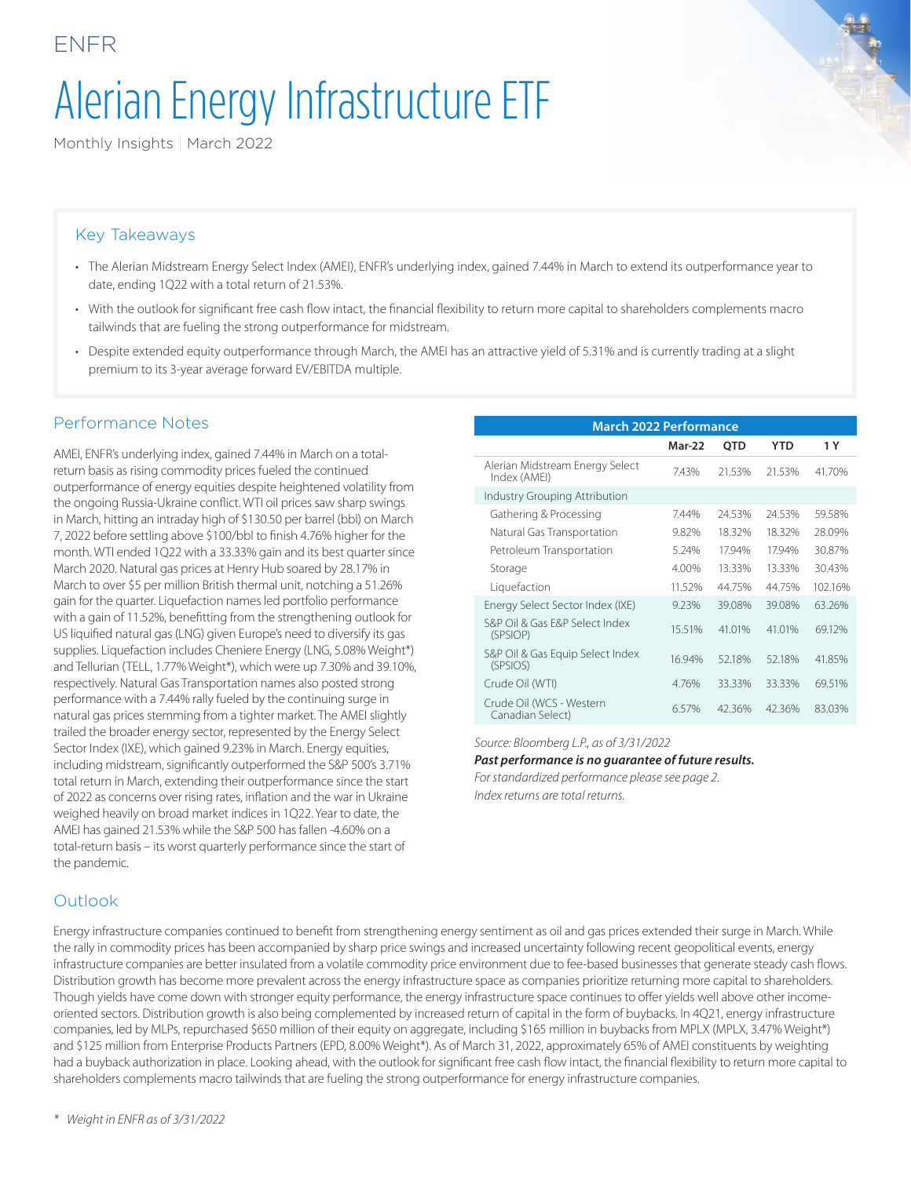# Alerian Energy Infrastructure ETF

Monthly Insights | March 2022

### Key Takeaways

ENFR

- The Alerian Midstream Energy Select Index (AMEI), ENFR's underlying index, gained 7.44% in March to extend its outperformance year to date, ending 1Q22 with a total return of 21.53%.
- With the outlook for significant free cash flow intact, the financial flexibility to return more capital to shareholders complements macro tailwinds that are fueling the strong outperformance for midstream.
- Despite extended equity outperformance through March, the AMEI has an attractive yield of 5.31% and is currently trading at a slight premium to its 3-year average forward EV/EBITDA multiple.

#### Performance Notes

AMEI, ENFR's underlying index, gained 7.44% in March on a totalreturn basis as rising commodity prices fueled the continued outperformance of energy equities despite heightened volatility from the ongoing Russia-Ukraine conflict. WTI oil prices saw sharp swings in March, hitting an intraday high of \$130.50 per barrel (bbl) on March 7, 2022 before settling above \$100/bbl to finish 4.76% higher for the month. WTI ended 1Q22 with a 33.33% gain and its best quarter since March 2020. Natural gas prices at Henry Hub soared by 28.17% in March to over \$5 per million British thermal unit, notching a 51.26% gain for the quarter. Liquefaction names led portfolio performance with a gain of 11.52%, benefitting from the strengthening outlook for US liquified natural gas (LNG) given Europe's need to diversify its gas supplies. Liquefaction includes Cheniere Energy (LNG, 5.08% Weight\*) and Tellurian (TELL, 1.77% Weight\*), which were up 7.30% and 39.10%, respectively. Natural Gas Transportation names also posted strong performance with a 7.44% rally fueled by the continuing surge in natural gas prices stemming from a tighter market. The AMEI slightly trailed the broader energy sector, represented by the Energy Select Sector Index (IXE), which gained 9.23% in March. Energy equities, including midstream, significantly outperformed the S&P 500's 3.71% total return in March, extending their outperformance since the start of 2022 as concerns over rising rates, inflation and the war in Ukraine weighed heavily on broad market indices in 1Q22. Year to date, the AMEI has gained 21.53% while the S&P 500 has fallen -4.60% on a total-return basis – its worst quarterly performance since the start of the pandemic.

| <b>March 2022 Performance</b>                   |        |            |            |         |  |
|-------------------------------------------------|--------|------------|------------|---------|--|
|                                                 | Mar-22 | <b>OTD</b> | <b>YTD</b> | 1 Y     |  |
| Alerian Midstream Energy Select<br>Index (AMEI) | 7.43%  | 21.53%     | 21.53%     | 41.70%  |  |
| Industry Grouping Attribution                   |        |            |            |         |  |
| Gathering & Processing                          | 7.44%  | 24.53%     | 24.53%     | 59.58%  |  |
| Natural Gas Transportation                      | 9.82%  | 18.32%     | 18.32%     | 28.09%  |  |
| Petroleum Transportation                        | 5.24%  | 17.94%     | 17.94%     | 30.87%  |  |
| Storage                                         | 4.00%  | 13.33%     | 13.33%     | 30.43%  |  |
| Liquefaction                                    | 11.52% | 44.75%     | 44.75%     | 102.16% |  |
| Energy Select Sector Index (IXE)                | 9.23%  | 39.08%     | 39.08%     | 63.26%  |  |
| S&P Oil & Gas F&P Select Index<br>(SPSIOP)      | 15.51% | 41.01%     | 41.01%     | 69.12%  |  |
| S&P Oil & Gas Equip Select Index<br>(SPSIOS)    | 16.94% | 52.18%     | 52.18%     | 41.85%  |  |
| Crude Oil (WTI)                                 | 4.76%  | 33.33%     | 33.33%     | 69.51%  |  |
| Crude Oil (WCS - Western<br>Canadian Select)    | 6.57%  | 42.36%     | 42.36%     | 83.03%  |  |

*Source: Bloomberg L.P., as of 3/31/2022*

#### *Past performance is no guarantee of future results.*

*For standardized performance please see page 2. Index returns are total returns.*

#### **Outlook**

Energy infrastructure companies continued to benefit from strengthening energy sentiment as oil and gas prices extended their surge in March. While the rally in commodity prices has been accompanied by sharp price swings and increased uncertainty following recent geopolitical events, energy infrastructure companies are better insulated from a volatile commodity price environment due to fee-based businesses that generate steady cash flows. Distribution growth has become more prevalent across the energy infrastructure space as companies prioritize returning more capital to shareholders. Though yields have come down with stronger equity performance, the energy infrastructure space continues to offer yields well above other incomeoriented sectors. Distribution growth is also being complemented by increased return of capital in the form of buybacks. In 4Q21, energy infrastructure companies, led by MLPs, repurchased \$650 million of their equity on aggregate, including \$165 million in buybacks from MPLX (MPLX, 3.47% Weight\*) and \$125 million from Enterprise Products Partners (EPD, 8.00% Weight\*). As of March 31, 2022, approximately 65% of AMEI constituents by weighting had a buyback authorization in place. Looking ahead, with the outlook for significant free cash flow intact, the financial flexibility to return more capital to shareholders complements macro tailwinds that are fueling the strong outperformance for energy infrastructure companies.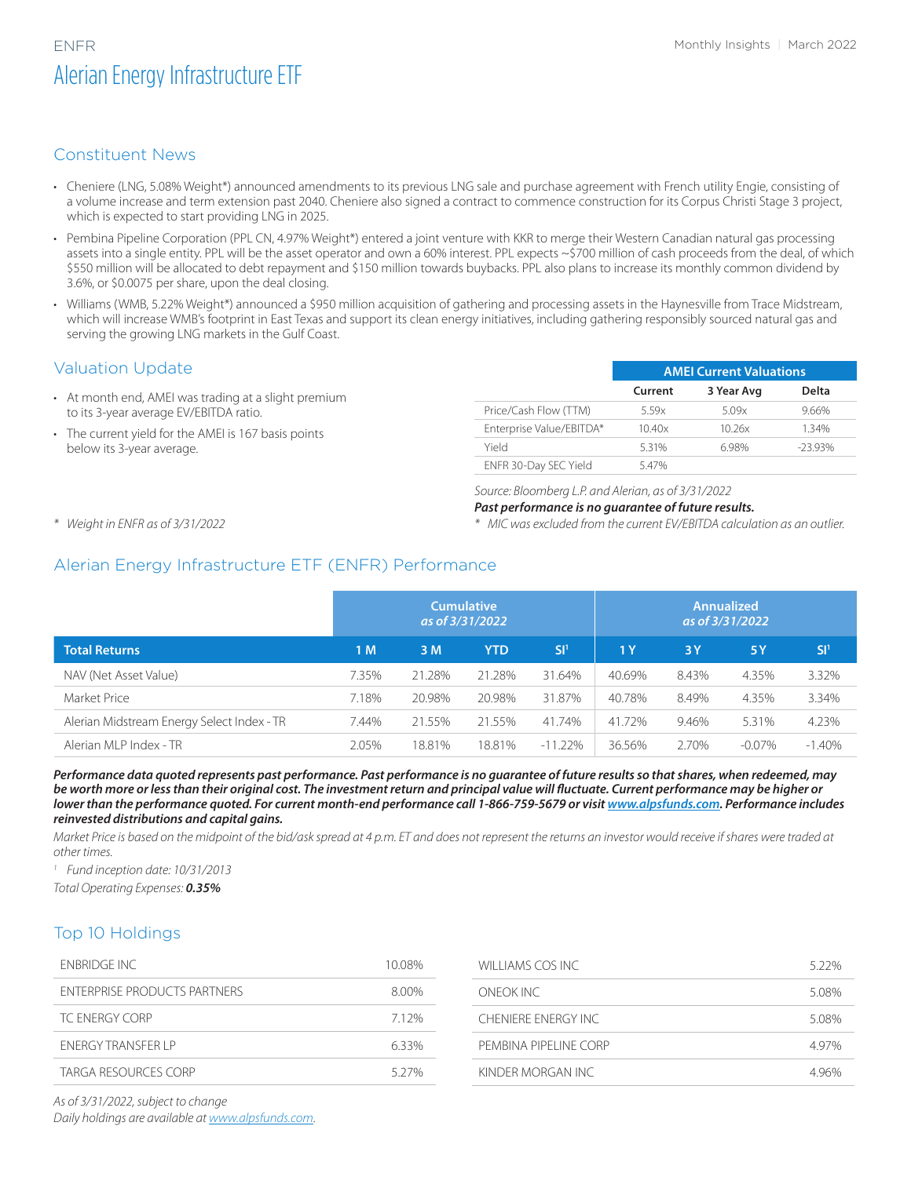# ENFR Monthly Insights | March 2022 Alerian Energy Infrastructure ETF

## Constituent News

- Cheniere (LNG, 5.08% Weight\*) announced amendments to its previous LNG sale and purchase agreement with French utility Engie, consisting of a volume increase and term extension past 2040. Cheniere also signed a contract to commence construction for its Corpus Christi Stage 3 project, which is expected to start providing LNG in 2025.
- Pembina Pipeline Corporation (PPL CN, 4.97% Weight\*) entered a joint venture with KKR to merge their Western Canadian natural gas processing assets into a single entity. PPL will be the asset operator and own a 60% interest. PPL expects ~\$700 million of cash proceeds from the deal, of which \$550 million will be allocated to debt repayment and \$150 million towards buybacks. PPL also plans to increase its monthly common dividend by 3.6%, or \$0.0075 per share, upon the deal closing.
- Williams (WMB, 5.22% Weight\*) announced a \$950 million acquisition of gathering and processing assets in the Haynesville from Trace Midstream, which will increase WMB's footprint in East Texas and support its clean energy initiatives, including gathering responsibly sourced natural gas and serving the growing LNG markets in the Gulf Coast.

### Valuation Update

- At month end, AMEI was trading at a slight premium to its 3-year average EV/EBITDA ratio.
- The current yield for the AMEI is 167 basis points below its 3-year average.

|                          | <b>AMEI Current Valuations</b> |            |            |  |  |
|--------------------------|--------------------------------|------------|------------|--|--|
|                          | Current                        | 3 Year Avg | Delta      |  |  |
| Price/Cash Flow (TTM)    | 5.59x                          | 5.09x      | 9.66%      |  |  |
| Enterprise Value/EBITDA* | 10.40x                         | 10.26x     | 1.34%      |  |  |
| Yield                    | 5.31%                          | 6.98%      | $-23.93\%$ |  |  |
| ENFR 30-Day SEC Yield    | 547%                           |            |            |  |  |

#### *Source: Bloomberg L.P. and Alerian, as of 3/31/2022*

#### *Past performance is no guarantee of future results.*

*\* MIC was excluded from the current EV/EBITDA calculation as an outlier.*

*\* Weight in ENFR as of 3/31/2022*

# Alerian Energy Infrastructure ETF (ENFR) Performance

|                                            | <b>Cumulative</b><br>as of 3/31/2022 |        |            | <b>Annualized</b><br>as of 3/31/2022 |                |       |           |                 |
|--------------------------------------------|--------------------------------------|--------|------------|--------------------------------------|----------------|-------|-----------|-----------------|
| <b>Total Returns</b>                       | 1 M                                  | 3 M    | <b>YTD</b> | SI <sup>1</sup>                      | 1 <sub>Y</sub> | 3Y    | 5Y        | SI <sup>1</sup> |
| NAV (Net Asset Value)                      | 7.35%                                | 21.28% | 21.28%     | 31.64%                               | 40.69%         | 8.43% | 4.35%     | 3.32%           |
| Market Price                               | 7.18%                                | 20.98% | 20.98%     | 31.87%                               | 40.78%         | 8.49% | 4.35%     | 3.34%           |
| Alerian Midstream Energy Select Index - TR | 7.44%                                | 21.55% | 21.55%     | 41.74%                               | 41.72%         | 9.46% | 5.31%     | 4.23%           |
| Alerian MLP Index - TR                     | 2.05%                                | 18.81% | 18.81%     | $-11.22%$                            | 36.56%         | 2.70% | $-0.07\%$ | $-1.40%$        |

*Performance data quoted represents past performance. Past performance is no guarantee of future results so that shares, when redeemed, may be worth more or less than their original cost. The investment return and principal value will fluctuate. Current performance may be higher or*  lower than the performance quoted. For current month-end performance call 1-866-759-5679 or visit *www.alpsfunds.com.* Performance includes *reinvested distributions and capital gains.*

*Market Price is based on the midpoint of the bid/ask spread at 4 p.m. ET and does not represent the returns an investor would receive if shares were traded at other times.*

*<sup>1</sup> Fund inception date: 10/31/2013*

*Total Operating Expenses: 0.35%*

### Top 10 Holdings

| 10.08% | WILLIAMS COS INC.     | 522%  |
|--------|-----------------------|-------|
| 8.00%  | ONFOK INC             | 5.08% |
| 712%   | CHENIFRE ENFRGY INC.  | 5.08% |
| 633%   | PEMBINA PIPELINE CORP | 4.97% |
| 527%   | KINDER MORGAN INC     | 496%  |
|        |                       |       |

*As of 3/31/2022, subject to change*

*Daily holdings are available at [www.alpsfunds.com.](https://www.alpsfunds.com/)*